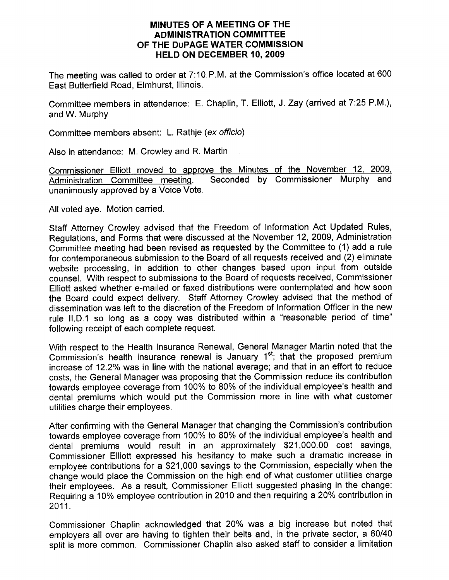## MINUTES OF A MEETING OF THE ADMINISTRATION COMMITTEE OF THE DUPAGE WATER COMMISSION HELD ON DECEMBER 10, 2OO9

The meeting was called to order at 7:10 P.M. at the Commission's office located at 600 Fast Butterfield Road, Elmhurst, lllinois.

Committee members in attendance: E. Chaplin, T. Elliott, J. Zay (arrived at 7:25 P.M.), and W. Murphy

Committee members absent: L. Rathje (ex officio)

Also in attendance: M. Crowley and R. Martin

Commissioner Elliott moved to approve the Minutes of the November 12, 2009.<br>Administration Committee meeting. Seconded by Commissioner Murphy and Seconded by Commissioner Murphy and unanimously approved by a Voice Vote.

All voted aye. Motion carried.

Staff Attorney Crowley advised that the Freedom of Information Act Updated Rules, Regulations, and Forms that were discussed at the November 12, 2009, Administration Committee meeting had been revised as requested by the Committee to (1) add a rule for contemporaneous submission to the Board of all requests received and (2) eliminate website processing, in addition to other changes based upon input from outside counsel. With respect to submissions to the Board of requests received, Commissioner Elliott asked whether e-mailed or faxed distributions were contemplated and how soon the Board could expect delivery. Staff Attorney Crowley advised that the method of dissemination was left to the discretion of the Freedom of Information Officer in the new rule ll.D.1 so long as a copy was distributed within a "reasonable period of time" following receipt of each complete request.

With respect to the Health Insurance Renewal, General Manager Martin noted that the Commission's health insurance renewal is January  $1<sup>st</sup>$ ; that the proposed premium increase of 12.2% was in line with the national average; and that in an effort to reduce costs, the General Manager was proposing that the Commission reduce its contribution towards employee coverage from 100% to 80% of the individual employee's health and dental premiums which would put the Commission more in line with what customer utilities charge their employees.

After confirming with the General Manager that changing the Commission's contribution towards employee coverage from 100% to 80% of the individual employee's health and dental premiums would result in an approximately \$21,000.00 cost savings, Commissioner Elliott expressed his hesitancy to make such a dramatic increase in employee contributions for a \$21,000 savings to the Commission, especially when the change would place the Commission on the high end of what customer utilities charge their employees. As a result, Commissioner Elliott suggested phasing in the change: Requiring a 10% employee contribution in 2010 and then requiring a 20% contribution in 2011.

Commissioner Chaplin acknowledged that 20% was a big increase but noted that employers all over are having to tighten their belts and, in the private sector, a 60/40 split is more common. Commissioner Chaplin also asked staff to consider a limitation